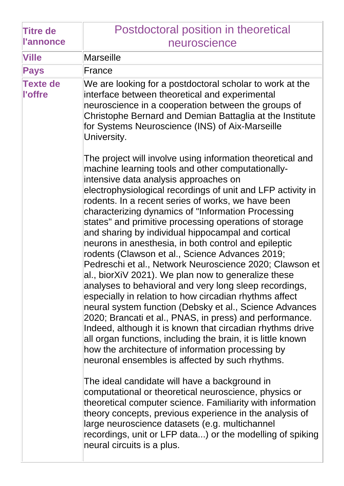| <b>Titre de</b>            | Postdoctoral position in theoretical                                                                                                                                                                                                                                                                                                                                                                                                                                                                                                                                                                                                                                                                                                                                                                                                                                                                                                                                                                                                                                                                                                                                                                                                                                                                                                                                                                                                                                                                                                            |
|----------------------------|-------------------------------------------------------------------------------------------------------------------------------------------------------------------------------------------------------------------------------------------------------------------------------------------------------------------------------------------------------------------------------------------------------------------------------------------------------------------------------------------------------------------------------------------------------------------------------------------------------------------------------------------------------------------------------------------------------------------------------------------------------------------------------------------------------------------------------------------------------------------------------------------------------------------------------------------------------------------------------------------------------------------------------------------------------------------------------------------------------------------------------------------------------------------------------------------------------------------------------------------------------------------------------------------------------------------------------------------------------------------------------------------------------------------------------------------------------------------------------------------------------------------------------------------------|
| <b>l'annonce</b>           | neuroscience                                                                                                                                                                                                                                                                                                                                                                                                                                                                                                                                                                                                                                                                                                                                                                                                                                                                                                                                                                                                                                                                                                                                                                                                                                                                                                                                                                                                                                                                                                                                    |
| <b>Ville</b>               | <b>Marseille</b>                                                                                                                                                                                                                                                                                                                                                                                                                                                                                                                                                                                                                                                                                                                                                                                                                                                                                                                                                                                                                                                                                                                                                                                                                                                                                                                                                                                                                                                                                                                                |
| <b>Pays</b>                | France                                                                                                                                                                                                                                                                                                                                                                                                                                                                                                                                                                                                                                                                                                                                                                                                                                                                                                                                                                                                                                                                                                                                                                                                                                                                                                                                                                                                                                                                                                                                          |
| <b>Texte de</b><br>l'offre | We are looking for a postdoctoral scholar to work at the<br>interface between theoretical and experimental<br>neuroscience in a cooperation between the groups of<br>Christophe Bernard and Demian Battaglia at the Institute<br>for Systems Neuroscience (INS) of Aix-Marseille<br>University.                                                                                                                                                                                                                                                                                                                                                                                                                                                                                                                                                                                                                                                                                                                                                                                                                                                                                                                                                                                                                                                                                                                                                                                                                                                 |
|                            | The project will involve using information theoretical and<br>machine learning tools and other computationally-<br>intensive data analysis approaches on<br>electrophysiological recordings of unit and LFP activity in<br>rodents. In a recent series of works, we have been<br>characterizing dynamics of "Information Processing<br>states" and primitive processing operations of storage<br>and sharing by individual hippocampal and cortical<br>neurons in anesthesia, in both control and epileptic<br>rodents (Clawson et al., Science Advances 2019;<br>Pedreschi et al., Network Neuroscience 2020; Clawson et<br>al., biorXiV 2021). We plan now to generalize these<br>analyses to behavioral and very long sleep recordings,<br>especially in relation to how circadian rhythms affect<br>neural system function (Debsky et al., Science Advances<br>2020; Brancati et al., PNAS, in press) and performance.<br>Indeed, although it is known that circadian rhythms drive<br>all organ functions, including the brain, it is little known<br>how the architecture of information processing by<br>neuronal ensembles is affected by such rhythms.<br>The ideal candidate will have a background in<br>computational or theoretical neuroscience, physics or<br>theoretical computer science. Familiarity with information<br>theory concepts, previous experience in the analysis of<br>large neuroscience datasets (e.g. multichannel<br>recordings, unit or LFP data) or the modelling of spiking<br>neural circuits is a plus. |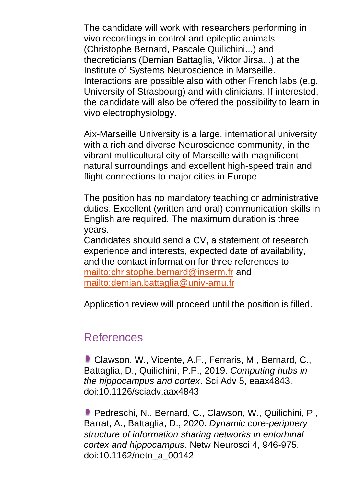The candidate will work with researchers performing in vivo recordings in control and epileptic animals (Christophe Bernard, Pascale Quilichini...) and theoreticians (Demian Battaglia, Viktor Jirsa...) at the Institute of Systems Neuroscience in Marseille. Interactions are possible also with other French labs (e.g. University of Strasbourg) and with clinicians. If interested, the candidate will also be offered the possibility to learn in vivo electrophysiology.

Aix-Marseille University is a large, international university with a rich and diverse Neuroscience community, in the vibrant multicultural city of Marseille with magnificent natural surroundings and excellent high-speed train and flight connections to major cities in Europe.

The position has no mandatory teaching or administrative duties. Excellent (written and oral) communication skills in English are required. The maximum duration is three years.

Candidates should send a CV, a statement of research experience and interests, expected date of availability, and the contact information for three references to <mailto:christophe.bernard@inserm.fr> and <mailto:demian.battaglia@univ-amu.fr>

Application review will proceed until the position is filled.

## References

**Clawson, W., Vicente, A.F., Ferraris, M., Bernard, C.,** Battaglia, D., Quilichini, P.P., 2019. *Computing hubs in the hippocampus and cortex*. Sci Adv 5, eaax4843. doi:10.1126/sciadv.aax4843

■ Pedreschi, N., Bernard, C., Clawson, W., Quilichini, P., Barrat, A., Battaglia, D., 2020. *Dynamic core-periphery structure of information sharing networks in entorhinal cortex and hippocampus.* Netw Neurosci 4, 946-975. doi:10.1162/netn\_a\_00142